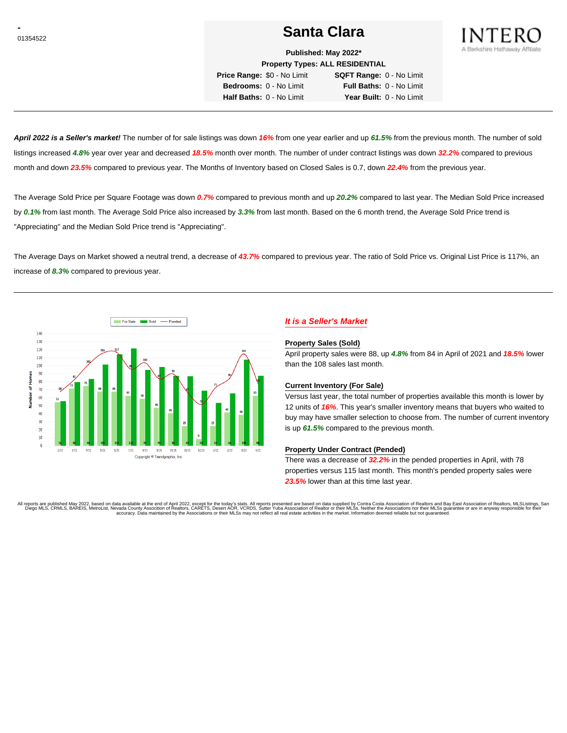# <sup>01354522</sup> **Santa Clara**



**Published: May 2022\***

**Property Types: ALL RESIDENTIAL Price Range:** \$0 - No Limit **SQFT Range:** 0 - No Limit

**Bedrooms:** 0 - No Limit **Full Baths:** 0 - No Limit **Half Baths:** 0 - No Limit **Year Built:** 0 - No Limit

**April 2022 is a Seller's market!** The number of for sale listings was down **16%** from one year earlier and up **61.5%** from the previous month. The number of sold listings increased **4.8%** year over year and decreased **18.5%** month over month. The number of under contract listings was down **32.2%** compared to previous month and down **23.5%** compared to previous year. The Months of Inventory based on Closed Sales is 0.7, down **22.4%** from the previous year.

The Average Sold Price per Square Footage was down **0.7%** compared to previous month and up **20.2%** compared to last year. The Median Sold Price increased by **0.1%** from last month. The Average Sold Price also increased by **3.3%** from last month. Based on the 6 month trend, the Average Sold Price trend is "Appreciating" and the Median Sold Price trend is "Appreciating".

The Average Days on Market showed a neutral trend, a decrease of **43.7%** compared to previous year. The ratio of Sold Price vs. Original List Price is 117%, an increase of **8.3%** compared to previous year.



## **It is a Seller's Market**

#### **Property Sales (Sold)**

April property sales were 88, up **4.8%** from 84 in April of 2021 and **18.5%** lower than the 108 sales last month.

### **Current Inventory (For Sale)**

Versus last year, the total number of properties available this month is lower by 12 units of **16%**. This year's smaller inventory means that buyers who waited to buy may have smaller selection to choose from. The number of current inventory is up **61.5%** compared to the previous month.

### **Property Under Contract (Pended)**

There was a decrease of **32.2%** in the pended properties in April, with 78 properties versus 115 last month. This month's pended property sales were **23.5%** lower than at this time last year.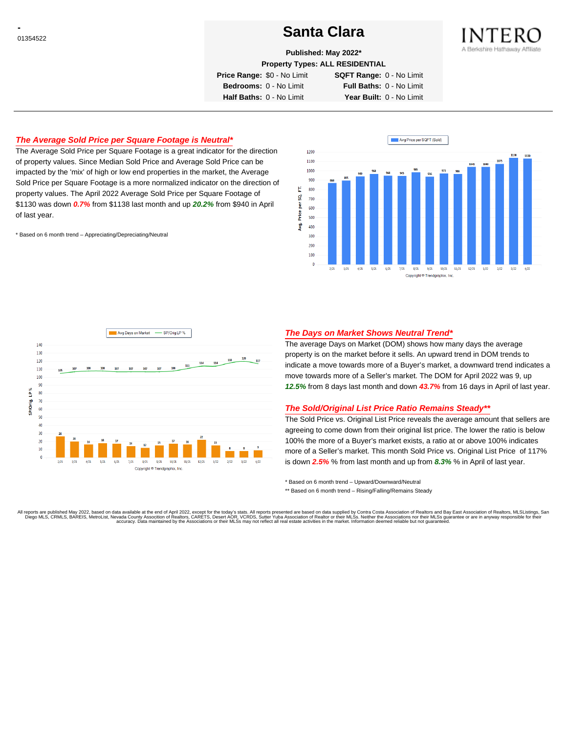# <sup>01354522</sup> **Santa Clara**



**Published: May 2022\***

**Property Types: ALL RESIDENTIAL**

**Price Range:** \$0 - No Limit **SQFT Range:** 0 - No Limit

**Bedrooms:** 0 - No Limit **Full Baths:** 0 - No Limit **Half Baths:** 0 - No Limit **Year Built:** 0 - No Limit

## **The Average Sold Price per Square Footage is Neutral\***

The Average Sold Price per Square Footage is a great indicator for the direction of property values. Since Median Sold Price and Average Sold Price can be impacted by the 'mix' of high or low end properties in the market, the Average Sold Price per Square Footage is a more normalized indicator on the direction of property values. The April 2022 Average Sold Price per Square Footage of \$1130 was down **0.7%** from \$1138 last month and up **20.2%** from \$940 in April of last year.

\* Based on 6 month trend – Appreciating/Depreciating/Neutral





## **The Days on Market Shows Neutral Trend\***

The average Days on Market (DOM) shows how many days the average property is on the market before it sells. An upward trend in DOM trends to indicate a move towards more of a Buyer's market, a downward trend indicates a move towards more of a Seller's market. The DOM for April 2022 was 9, up **12.5%** from 8 days last month and down **43.7%** from 16 days in April of last year.

#### **The Sold/Original List Price Ratio Remains Steady\*\***

The Sold Price vs. Original List Price reveals the average amount that sellers are agreeing to come down from their original list price. The lower the ratio is below 100% the more of a Buyer's market exists, a ratio at or above 100% indicates more of a Seller's market. This month Sold Price vs. Original List Price of 117% is down **2.5%** % from last month and up from **8.3%** % in April of last year.

\* Based on 6 month trend – Upward/Downward/Neutral

\*\* Based on 6 month trend - Rising/Falling/Remains Steady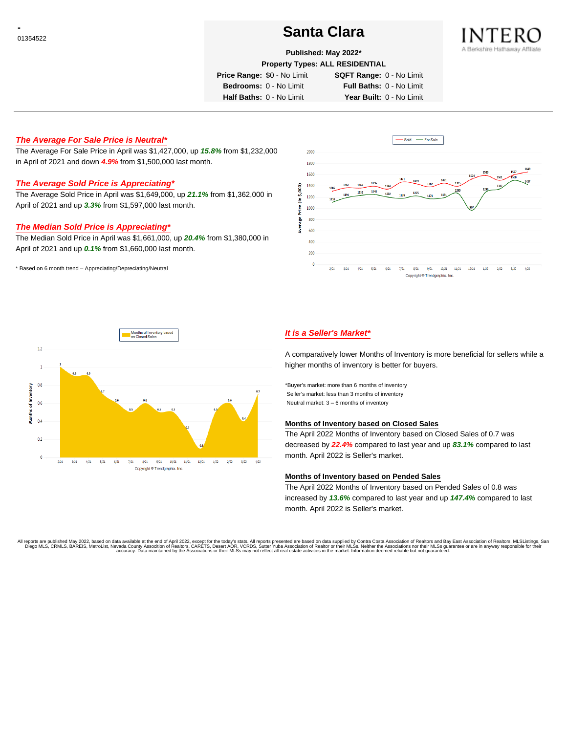# <sup>01354522</sup> **Santa Clara**



#### **Published: May 2022\***

**Property Types: ALL RESIDENTIAL**

**Price Range:** \$0 - No Limit **SQFT Range:** 0 - No Limit

**Bedrooms:** 0 - No Limit **Full Baths:** 0 - No Limit

**Half Baths:** 0 - No Limit **Year Built:** 0 - No Limit

## **The Average For Sale Price is Neutral\***

The Average For Sale Price in April was \$1,427,000, up **15.8%** from \$1,232,000 in April of 2021 and down **4.9%** from \$1,500,000 last month.

## **The Average Sold Price is Appreciating\***

The Average Sold Price in April was \$1,649,000, up **21.1%** from \$1,362,000 in April of 2021 and up **3.3%** from \$1,597,000 last month.

### **The Median Sold Price is Appreciating\***

The Median Sold Price in April was \$1,661,000, up **20.4%** from \$1,380,000 in April of 2021 and up **0.1%** from \$1,660,000 last month.

\* Based on 6 month trend – Appreciating/Depreciating/Neutral





## **It is a Seller's Market\***

A comparatively lower Months of Inventory is more beneficial for sellers while a higher months of inventory is better for buyers.

\*Buyer's market: more than 6 months of inventory Seller's market: less than 3 months of inventory Neutral market: 3 – 6 months of inventory

#### **Months of Inventory based on Closed Sales**

The April 2022 Months of Inventory based on Closed Sales of 0.7 was decreased by **22.4%** compared to last year and up **83.1%** compared to last month. April 2022 is Seller's market.

#### **Months of Inventory based on Pended Sales**

The April 2022 Months of Inventory based on Pended Sales of 0.8 was increased by **13.6%** compared to last year and up **147.4%** compared to last month. April 2022 is Seller's market.